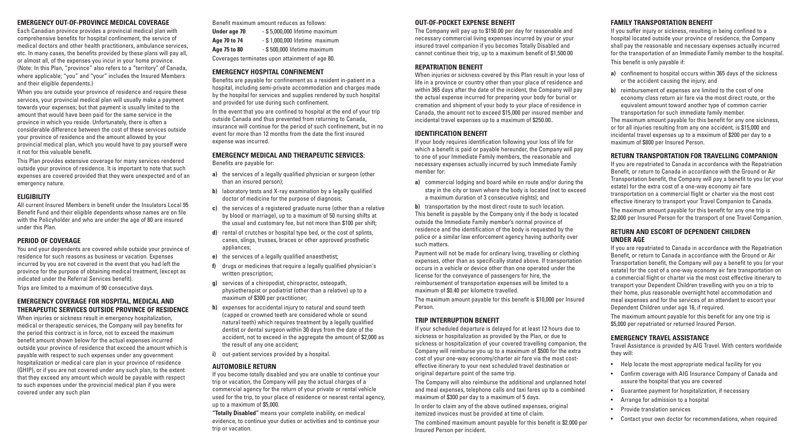### **EMERGENCY OUT-OF-PROVINCE MEDICAL COVERAGE**

Each Canadian province provides a provincial medical plan with comprehensive benefits for hospital confinement, the service of medical doctors and other health practitioners, ambulance services, etc. In many cases, the benefits provided by these plans will pay all, or almost all, of the expenses you incur in your home province. (Note: In this Plan, "province" also refers to a "territory" of Canada, where applicable; "you" and "your" includes the Insured Members and their eligible dependents.)

When you are outside your province of residence and require these services, your provincial medical plan will usually make a payment towards your expenses; but that payment is usually limited to the amount that would have been paid for the same service in the province in which you reside. Unfortunately, there is often a considerable difference between the cost of these services outside your province of residence and the amount allowed by your provincial medical plan, which you would have to pay yourself were it not for this valuable benefit.

This Plan provides extensive coverage for many services rendered outside your province of residence. It is important to note that such expenses are covered provided that they were unexpected and of an emergency nature.

### **ELIGIBILITY**

When injuries or sickness result in emergency hospitalization, medical or therapeutic services, the Company will pay benefits for the period this contract is in force, not to exceed the maximum benefit amount shown below for the actual expenses incurred outside your province of residence that exceed the amount which is payable with respect to such expenses under any government hospitalization or medical care plan in your province of residence (GHIP), or if you are not covered under any such plan, to the extent that they exceed any amount which would be payable with respect to such expenses under the provincial medical plan if you were covered under any such plan

All current Insured Members in benefit under the Insulators Local 95 Benefit Fund and their eligible dependents whose names are on file with the Policyholder and who are under the age of 80 are insured under this Plan.

### **PERIOD OF COVERAGE**

You and your dependents are covered while outside your province of residence for such reasons as business or vacation. Expenses incurred by you are not covered in the event that you had left the province for the purpose of obtaining medical treatment, (except as indicated under the Referral Services benefit).

Trips are limited to a maximum of 90 consecutive days.

### **EMERGENCY COVERAGE FOR HOSPITAL, MEDICAL AND THERAPEUTIC SERVICES OUTSIDE PROVINCE OF RESIDENCE**

Benefit maximum amount reduces as follows:

| Under age 70 | - \$5,000,000 lifetime maximum                  |
|--------------|-------------------------------------------------|
| Age 70 to 74 | - \$1,000,000 lifetime maximum                  |
| Age 75 to 80 | - \$500,000 lifetime maximum                    |
|              | Coverages terminates upon attainment of age 80. |

### **EMERGENCY HOSPITAL CONFINEMENT**

Benefits are payable for confinement as a resident in-patient in a hospital, including semi-private accommodation and charges made by the hospital for services and supplies rendered by such hospital and provided for use during such confinement.

In the event that you are confined to hospital at the end of your trip outside Canada and thus prevented from returning to Canada, insurance will continue for the period of such confinement, but in no event for more than 12 months from the date the first insured expense was incurred.

> **b)** transportation by the most direct route to such location. This benefit is payable by the Company only if the body is located outside the Immediate Family member's normal province of residence and the identification of the body is requested by the police or a similar law enforcement agency having authority over such matters.

### **EMERGENCY MEDICAL AND THERAPEUTIC SERVICES:**

Benefits are payable for:

- **a)** the services of a legally qualified physician or surgeon (other than an insured person);
- **b)** laboratory tests and X-ray examination by a legally qualified doctor of medicine for the purpose of diagnosis;
- **c)** the services of a registered graduate nurse (other than a relative by blood or marriage), up to a maximum of 50 nursing shifts at the usual and customary fee, but not more than \$100 per shift;
- **d)** rental of crutches or hospital type bed, or the cost of splints, canes, slings, trusses, braces or other approved prosthetic appliances;
- **e)** the services of a legally qualified anaesthetist;
- **f)** drugs or medicines that require a legally qualified physician's written prescription;
- **g)** services of a chiropodist, chiropractor, osteopath, physiotherapist or podiatrist (other than a relative) up to a maximum of \$300 per practitioner;
- **h)** expenses for accidental injury to natural and sound teeth (capped or crowned teeth are considered whole or sound natural teeth) which requires treatment by a legally qualified dentist or dental surgeon within 30 days from the date of the accident, not to exceed in the aggregate the amount of \$2,000 as the result of any one accident;

If you are repatriated to Canada in accordance with the Repatriation Benefit, or return to Canada in accordance with the Ground or Air Transportation benefit, the Company will pay a benefit to you (or your estate) for the extra cost of a one-way economy air fare transportation on a commercial flight or charter via the most cost effective itinerary to transport your Travel Companion to Canada. The maximum amount payable for this benefit for any one trip is \$2,000 per Insured Person for the transport of one Travel Companion.

**i)** out-patient services provided by a hospital.

### **AUTOMOBILE RETURN**

If you become totally disabled and you are unable to continue your trip or vacation, the Company will pay the actual charges of a commercial agency for the return of your private or rental vehicle used for the trip, to your place of residence or nearest rental agency, up to a maximum of \$5,000.

**"Totally Disabled"** means your complete inability, on medical evidence, to continue your duties or activities and to continue your trip or vacation.

#### **OUT-OF-POCKET EXPENSE BENEFIT**

The Company will pay up to \$150.00 per day for reasonable and necessary commercial living expenses incurred by your or your insured travel companion if you becomes Totally Disabled and cannot continue their trip, up to a maximum benefit of \$1,500.00

### **REPATRIATION BENEFIT**

When injuries or sickness covered by this Plan result in your loss of life in a province or country other than your place of residence and within 365 days after the date of the incident, the Company will pay the actual expense incurred for preparing your body for burial or cremation and shipment of your body to your place of residence in Canada, the amount not to exceed \$15,000 per insured member and incidental travel expenses up to a maximum of \$250.00..

### **IDENTIFICATION BENEFIT**

If your body requires identification following your loss of life for which a benefit is paid or payable hereunder, the Company will pay to one of your Immediate Family members, the reasonable and necessary expenses actually incurred by such Immediate Family member for:

**a)** commercial lodging and board while en route and/or during the stay in the city or town where the body is located (not to exceed a maximum duration of 3 consecutive nights); and

Payment will not be made for ordinary living, travelling or clothing expenses, other than as specifically stated above. If transportation occurs in a vehicle or device other than one operated under the license for the conveyance of passengers for hire, the reimbursement of transportation expenses will be limited to a maximum of \$0.40 per kilometre travelled.

The maximum amount payable for this benefit is \$10,000 per Insured Person.

### **TRIP INTERRUPTION BENEFIT**

If your scheduled departure is delayed for at least 12 hours due to sickness or hospitalization as provided by the Plan, or due to sickness or hospitalization of your covered travelling companion, the Company will reimburse you up to a maximum of \$500 for the extra cost of your one-way economy/charter air fare via the most costeffective itinerary to your next scheduled travel destination or original departure point of the same trip.

The Company will also reimburse the additional and unplanned hotel and meal expenses, telephone calls and taxi fares up to a combined maximum of \$300 per day to a maximum of 5 days.

In order to claim any of the above outlined expenses, original itemized invoices must be provided at time of claim.

The combined maximum amount payable for this benefit is \$2.000 per Insured Person per incident.

### **FAMILY TRANSPORTATION BENEFIT**

If you suffer injury or sickness, resulting in being confined to a hospital located outside your province of residence, the Company shall pay the reasonable and necessary expenses actually incurred for the transportation of an Immediate Family member to the hospital.

- This benefit is only payable if:
- **a)** confinement to hospital occurs within 365 days of the sickness or the accident causing the injury; and
- **b)** reimbursement of expenses are limited to the cost of one economy class return air fare via the most direct route, or the equivalent amount toward another type of common carrier transportation for such immediate family member.
- The maximum amount payable for this benefit for any one sickness, or for all injuries resulting from any one accident, is \$15,000 and incidental travel expenses up to a maximum of \$200 per day to a maximum of \$800 per Insured Person.

## **RETURN TRANSPORTATION FOR TRAVELLING COMPANION**

### **RETURN AND ESCORT OF DEPENDENT CHILDREN UNDER AGE**

If you are repatriated to Canada in accordance with the Repatriation Benefit, or return to Canada in accordance with the Ground or Air Transportation benefit, the Company will pay a benefit to you (or your estate) for the cost of a one-way economy air fare transportation on a commercial flight or charter via the most cost effective itinerary to transport your Dependent Children travelling with you on a trip to their home, plus reasonable overnight hotel accommodation and meal expenses and for the services of an attendant to escort your Dependent Children under age 16, if required.

The maximum amount payable for this benefit for any one trip is \$5,000 per repatriated or returned Insured Person.

## **EMERGENCY TRAVEL ASSISTANCE**

Travel Assistance is provided by AIG Travel. With centers worldwide they will:

- Help locate the most appropriate medical facility for you
- Confirm coverage with AIG Insurance Company of Canada and assure the hospital that you are covered
- Guarantee payment for hospitalization, if necessary
	- Arrange for admission to a hospital
	- Provide translation services
- Contact your own doctor for recommendations, when required